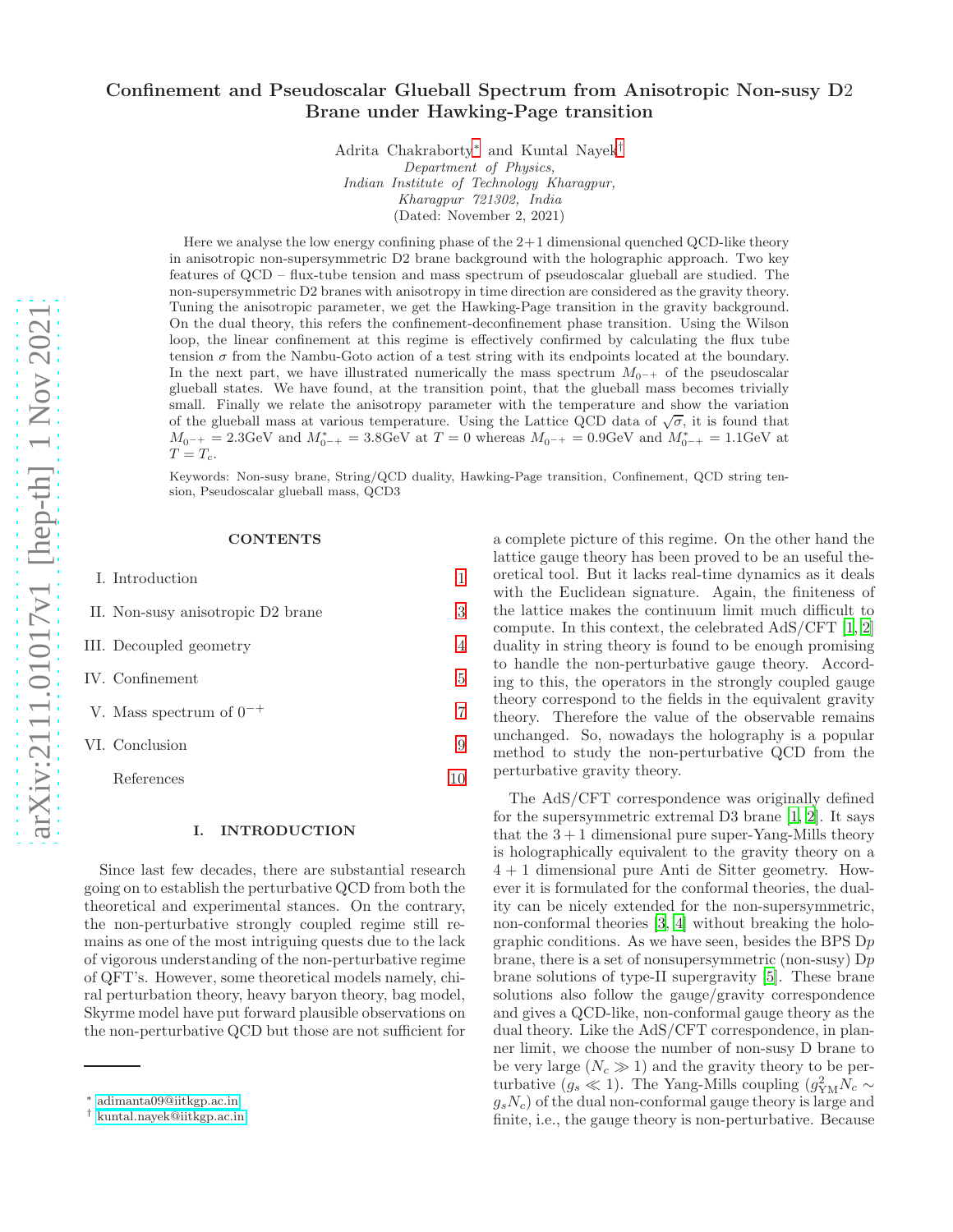# Confinement and Pseudoscalar Glueball Spectrum from Anisotropic Non-susy D2 Brane under Hawking-Page transition

Adrita Chakraborty[∗](#page-0-0) and Kuntal Nayek[†](#page-0-1) Department of Physics, Indian Institute of Technology Kharagpur, Kharagpur 721302, India (Dated: November 2, 2021)

Here we analyse the low energy confining phase of the 2+1 dimensional quenched QCD-like theory in anisotropic non-supersymmetric D2 brane background with the holographic approach. Two key features of QCD – flux-tube tension and mass spectrum of pseudoscalar glueball are studied. The non-supersymmetric D2 branes with anisotropy in time direction are considered as the gravity theory. Tuning the anisotropic parameter, we get the Hawking-Page transition in the gravity background. On the dual theory, this refers the confinement-deconfinement phase transition. Using the Wilson loop, the linear confinement at this regime is effectively confirmed by calculating the flux tube tension  $\sigma$  from the Nambu-Goto action of a test string with its endpoints located at the boundary. In the next part, we have illustrated numerically the mass spectrum  $M_{0-+}$  of the pseudoscalar glueball states. We have found, at the transition point, that the glueball mass becomes trivially small. Finally we relate the anisotropy parameter with the temperature and show the variation of the glueball mass at various temperature. Using the Lattice QCD data of  $\sqrt{\sigma}$ , it is found that  $M_{0^-+} = 2.3 \text{GeV}$  and  $M_{0^-+}^* = 3.8 \text{GeV}$  at  $T = 0$  whereas  $M_{0^-+} = 0.9 \text{GeV}$  and  $M_{0^-+}^* = 1.1 \text{GeV}$  at  $T = T_c$ .

Keywords: Non-susy brane, String/QCD duality, Hawking-Page transition, Confinement, QCD string tension, Pseudoscalar glueball mass, QCD3

#### **CONTENTS**

| I. Introduction                   |   |
|-----------------------------------|---|
| II. Non-susy anisotropic D2 brane | 3 |
| III. Decoupled geometry           | 4 |
| IV. Confinement                   | 5 |
| V. Mass spectrum of $0^{-+}$      |   |
| VI. Conclusion                    | 9 |
| References                        |   |

#### <span id="page-0-2"></span>I. INTRODUCTION

Since last few decades, there are substantial research going on to establish the perturbative QCD from both the theoretical and experimental stances. On the contrary, the non-perturbative strongly coupled regime still remains as one of the most intriguing quests due to the lack of vigorous understanding of the non-perturbative regime of QFT's. However, some theoretical models namely, chiral perturbation theory, heavy baryon theory, bag model, Skyrme model have put forward plausible observations on the non-perturbative QCD but those are not sufficient for

a complete picture of this regime. On the other hand the lattice gauge theory has been proved to be an useful theoretical tool. But it lacks real-time dynamics as it deals with the Euclidean signature. Again, the finiteness of the lattice makes the continuum limit much difficult to compute. In this context, the celebrated AdS/CFT [\[1,](#page-9-1) [2](#page-9-2)] duality in string theory is found to be enough promising to handle the non-perturbative gauge theory. According to this, the operators in the strongly coupled gauge theory correspond to the fields in the equivalent gravity theory. Therefore the value of the observable remains unchanged. So, nowadays the holography is a popular method to study the non-perturbative QCD from the perturbative gravity theory.

The AdS/CFT correspondence was originally defined for the supersymmetric extremal D3 brane [\[1,](#page-9-1) [2\]](#page-9-2). It says that the  $3 + 1$  dimensional pure super-Yang-Mills theory is holographically equivalent to the gravity theory on a 4 + 1 dimensional pure Anti de Sitter geometry. However it is formulated for the conformal theories, the duality can be nicely extended for the non-supersymmetric, non-conformal theories [\[3,](#page-9-3) [4\]](#page-9-4) without breaking the holographic conditions. As we have seen, besides the BPS  $Dp$ brane, there is a set of nonsupersymmetric (non-susy)  $Dp$ brane solutions of type-II supergravity [\[5\]](#page-9-5). These brane solutions also follow the gauge/gravity correspondence and gives a QCD-like, non-conformal gauge theory as the dual theory. Like the AdS/CFT correspondence, in planner limit, we choose the number of non-susy D brane to be very large  $(N_c \gg 1)$  and the gravity theory to be perturbative  $(g_s \ll 1)$ . The Yang-Mills coupling  $(g_{YM}^2 N_c \sim$  $g_sN_c$ ) of the dual non-conformal gauge theory is large and finite, i.e., the gauge theory is non-perturbative. Because

<span id="page-0-0"></span><sup>∗</sup> [adimanta09@iitkgp.ac.in](mailto:adimanta09@iitkgp.ac.in)

<span id="page-0-1"></span><sup>†</sup> [kuntal.nayek@iitkgp.ac.in](mailto:kuntal.nayek@iitkgp.ac.in)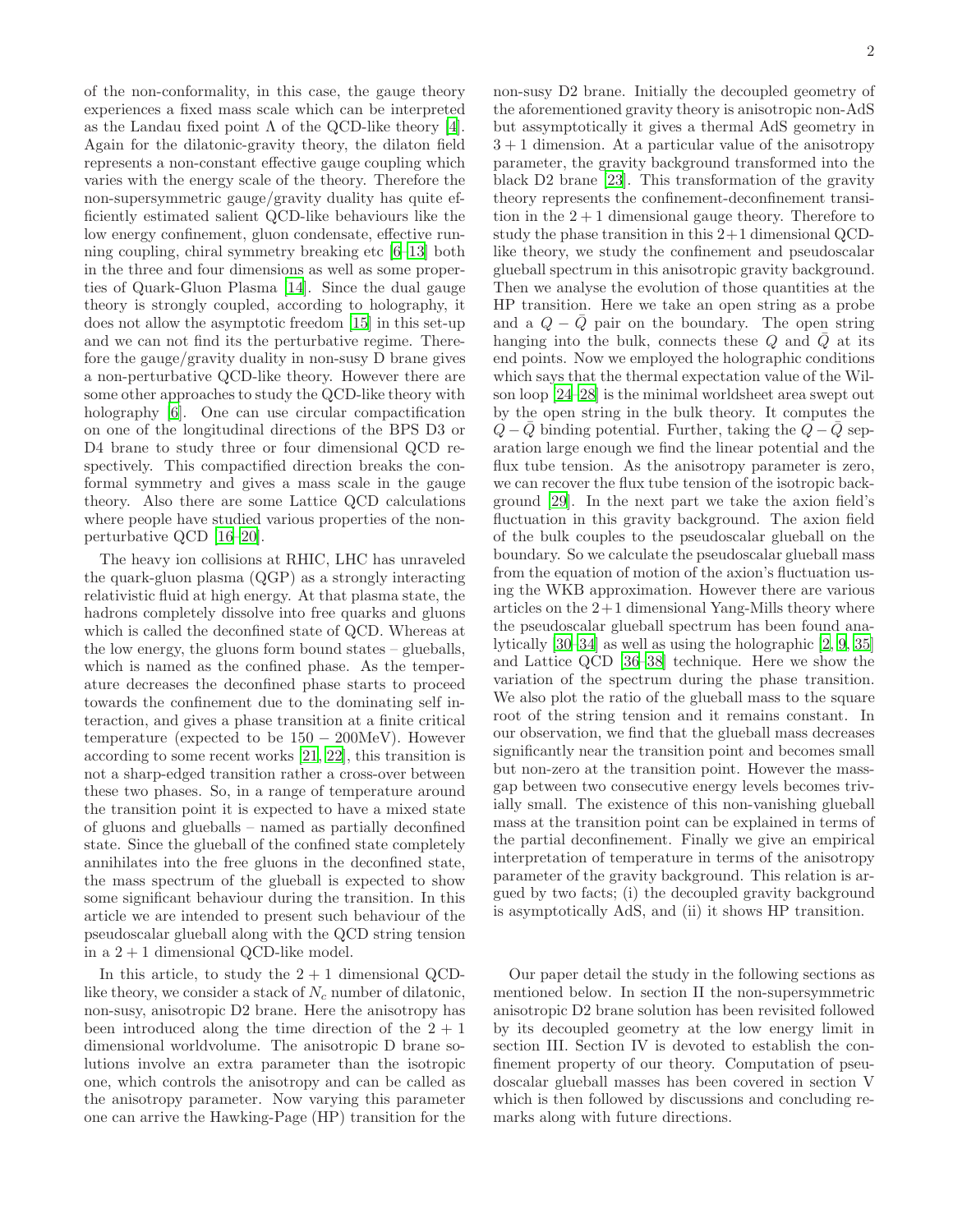of the non-conformality, in this case, the gauge theory experiences a fixed mass scale which can be interpreted as the Landau fixed point  $\Lambda$  of the QCD-like theory [\[4\]](#page-9-4). Again for the dilatonic-gravity theory, the dilaton field represents a non-constant effective gauge coupling which varies with the energy scale of the theory. Therefore the non-supersymmetric gauge/gravity duality has quite efficiently estimated salient QCD-like behaviours like the low energy confinement, gluon condensate, effective running coupling, chiral symmetry breaking etc [\[6](#page-9-6)[–13\]](#page-10-0) both in the three and four dimensions as well as some properties of Quark-Gluon Plasma [\[14\]](#page-10-1). Since the dual gauge theory is strongly coupled, according to holography, it does not allow the asymptotic freedom [\[15\]](#page-10-2) in this set-up and we can not find its the perturbative regime. Therefore the gauge/gravity duality in non-susy D brane gives a non-perturbative QCD-like theory. However there are some other approaches to study the QCD-like theory with holography [\[6\]](#page-9-6). One can use circular compactification on one of the longitudinal directions of the BPS D3 or D4 brane to study three or four dimensional QCD respectively. This compactified direction breaks the conformal symmetry and gives a mass scale in the gauge theory. Also there are some Lattice QCD calculations where people have studied various properties of the nonperturbative QCD [\[16](#page-10-3)[–20\]](#page-10-4).

The heavy ion collisions at RHIC, LHC has unraveled the quark-gluon plasma (QGP) as a strongly interacting relativistic fluid at high energy. At that plasma state, the hadrons completely dissolve into free quarks and gluons which is called the deconfined state of QCD. Whereas at the low energy, the gluons form bound states – glueballs, which is named as the confined phase. As the temperature decreases the deconfined phase starts to proceed towards the confinement due to the dominating self interaction, and gives a phase transition at a finite critical temperature (expected to be  $150 - 200$ MeV). However according to some recent works [\[21](#page-10-5), [22\]](#page-10-6), this transition is not a sharp-edged transition rather a cross-over between these two phases. So, in a range of temperature around the transition point it is expected to have a mixed state of gluons and glueballs – named as partially deconfined state. Since the glueball of the confined state completely annihilates into the free gluons in the deconfined state, the mass spectrum of the glueball is expected to show some significant behaviour during the transition. In this article we are intended to present such behaviour of the pseudoscalar glueball along with the QCD string tension in a  $2 + 1$  dimensional QCD-like model.

In this article, to study the  $2 + 1$  dimensional QCDlike theory, we consider a stack of  $N_c$  number of dilatonic, non-susy, anisotropic D2 brane. Here the anisotropy has been introduced along the time direction of the  $2 + 1$ dimensional worldvolume. The anisotropic D brane solutions involve an extra parameter than the isotropic one, which controls the anisotropy and can be called as the anisotropy parameter. Now varying this parameter one can arrive the Hawking-Page (HP) transition for the non-susy D2 brane. Initially the decoupled geometry of the aforementioned gravity theory is anisotropic non-AdS but assymptotically it gives a thermal AdS geometry in  $3 + 1$  dimension. At a particular value of the anisotropy parameter, the gravity background transformed into the black D2 brane [\[23](#page-10-7)]. This transformation of the gravity theory represents the confinement-deconfinement transition in the  $2+1$  dimensional gauge theory. Therefore to study the phase transition in this 2+1 dimensional QCDlike theory, we study the confinement and pseudoscalar glueball spectrum in this anisotropic gravity background. Then we analyse the evolution of those quantities at the HP transition. Here we take an open string as a probe and a  $Q - \bar{Q}$  pair on the boundary. The open string hanging into the bulk, connects these  $Q$  and  $\overline{Q}$  at its end points. Now we employed the holographic conditions which says that the thermal expectation value of the Wilson loop [\[24](#page-10-8)[–28\]](#page-10-9) is the minimal worldsheet area swept out by the open string in the bulk theory. It computes the  $Q - Q$  binding potential. Further, taking the  $Q - Q$  separation large enough we find the linear potential and the flux tube tension. As the anisotropy parameter is zero, we can recover the flux tube tension of the isotropic background [\[29](#page-10-10)]. In the next part we take the axion field's fluctuation in this gravity background. The axion field of the bulk couples to the pseudoscalar glueball on the boundary. So we calculate the pseudoscalar glueball mass from the equation of motion of the axion's fluctuation using the WKB approximation. However there are various articles on the  $2+1$  dimensional Yang-Mills theory where the pseudoscalar glueball spectrum has been found analytically [\[30](#page-10-11)[–34](#page-10-12)] as well as using the holographic [\[2,](#page-9-2) [9,](#page-9-7) [35](#page-10-13)] and Lattice QCD [\[36](#page-10-14)[–38\]](#page-10-15) technique. Here we show the variation of the spectrum during the phase transition. We also plot the ratio of the glueball mass to the square root of the string tension and it remains constant. In our observation, we find that the glueball mass decreases significantly near the transition point and becomes small but non-zero at the transition point. However the massgap between two consecutive energy levels becomes trivially small. The existence of this non-vanishing glueball mass at the transition point can be explained in terms of the partial deconfinement. Finally we give an empirical interpretation of temperature in terms of the anisotropy parameter of the gravity background. This relation is argued by two facts; (i) the decoupled gravity background is asymptotically AdS, and (ii) it shows HP transition.

Our paper detail the study in the following sections as mentioned below. In section II the non-supersymmetric anisotropic D2 brane solution has been revisited followed by its decoupled geometry at the low energy limit in section III. Section IV is devoted to establish the confinement property of our theory. Computation of pseudoscalar glueball masses has been covered in section V which is then followed by discussions and concluding remarks along with future directions.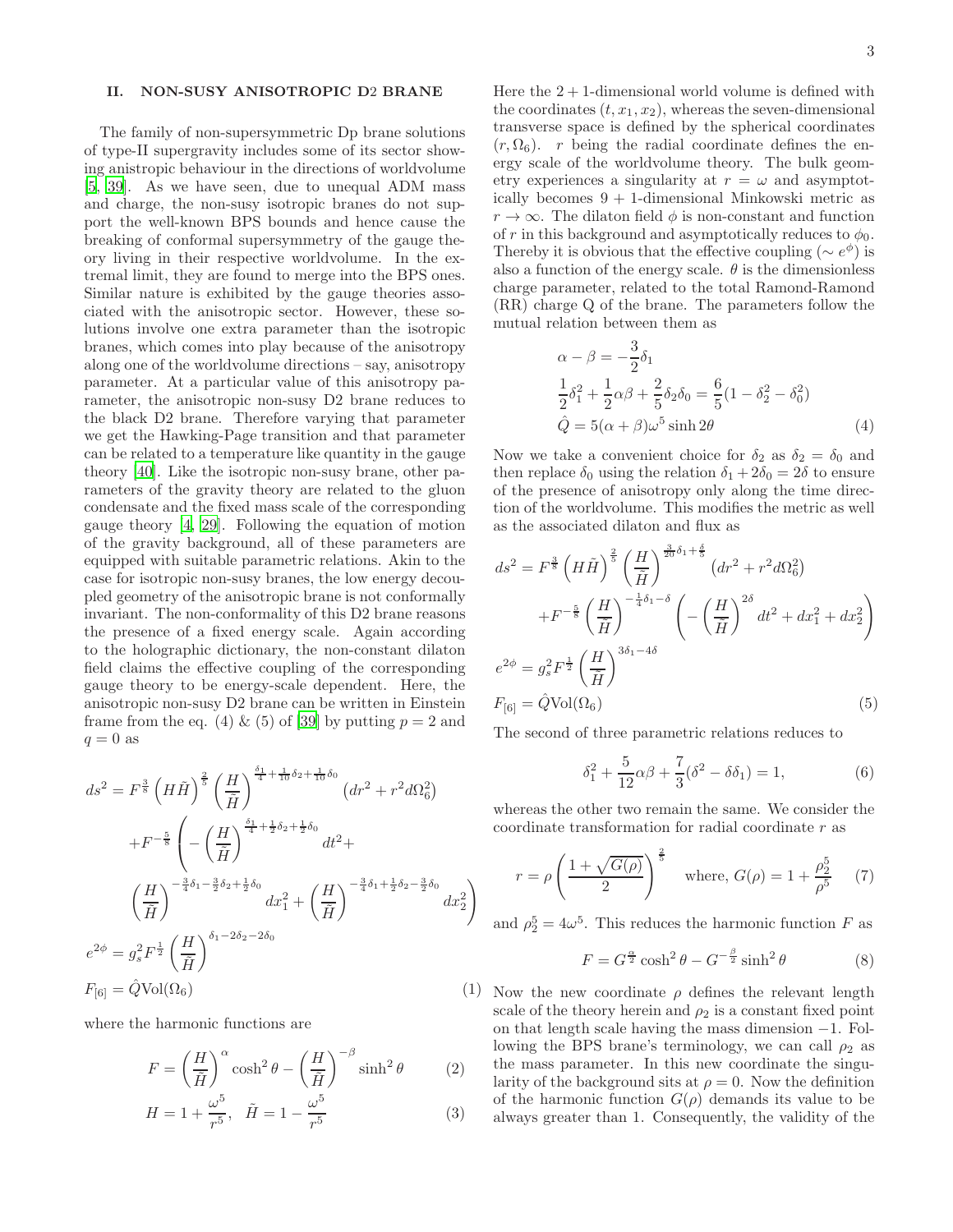## <span id="page-2-0"></span>II. NON-SUSY ANISOTROPIC D2 BRANE

The family of non-supersymmetric Dp brane solutions of type-II supergravity includes some of its sector showing anistropic behaviour in the directions of worldvolume [\[5,](#page-9-5) [39](#page-10-16)]. As we have seen, due to unequal ADM mass and charge, the non-susy isotropic branes do not support the well-known BPS bounds and hence cause the breaking of conformal supersymmetry of the gauge theory living in their respective worldvolume. In the extremal limit, they are found to merge into the BPS ones. Similar nature is exhibited by the gauge theories associated with the anisotropic sector. However, these solutions involve one extra parameter than the isotropic branes, which comes into play because of the anisotropy along one of the worldvolume directions – say, anisotropy parameter. At a particular value of this anisotropy parameter, the anisotropic non-susy D2 brane reduces to the black D2 brane. Therefore varying that parameter we get the Hawking-Page transition and that parameter can be related to a temperature like quantity in the gauge theory [\[40](#page-10-17)]. Like the isotropic non-susy brane, other parameters of the gravity theory are related to the gluon condensate and the fixed mass scale of the corresponding gauge theory [\[4,](#page-9-4) [29\]](#page-10-10). Following the equation of motion of the gravity background, all of these parameters are equipped with suitable parametric relations. Akin to the case for isotropic non-susy branes, the low energy decoupled geometry of the anisotropic brane is not conformally invariant. The non-conformality of this D2 brane reasons the presence of a fixed energy scale. Again according to the holographic dictionary, the non-constant dilaton field claims the effective coupling of the corresponding gauge theory to be energy-scale dependent. Here, the anisotropic non-susy D2 brane can be written in Einstein frame from the eq. (4) & (5) of [\[39](#page-10-16)] by putting  $p = 2$  and  $q = 0$  as

$$
ds^{2} = F^{\frac{3}{8}} \left(H\tilde{H}\right)^{\frac{2}{5}} \left(\frac{H}{\tilde{H}}\right)^{\frac{\delta_{1}}{4} + \frac{1}{10}\delta_{2} + \frac{1}{10}\delta_{0}} \left(dr^{2} + r^{2}d\Omega_{6}^{2}\right)
$$

$$
+ F^{-\frac{5}{8}} \left(-\left(\frac{H}{\tilde{H}}\right)^{\frac{\delta_{1}}{4} + \frac{1}{2}\delta_{2} + \frac{1}{2}\delta_{0}} dt^{2} + \left(\frac{H}{\tilde{H}}\right)^{-\frac{3}{4}\delta_{1} - \frac{3}{2}\delta_{2} + \frac{1}{2}\delta_{0}} dx_{1}^{2} + \left(\frac{H}{\tilde{H}}\right)^{-\frac{3}{4}\delta_{1} + \frac{1}{2}\delta_{2} - \frac{3}{2}\delta_{0}} dx_{2}^{2}\right)
$$

$$
e^{2\phi} = g_{s}^{2} F^{\frac{1}{2}} \left(\frac{H}{\tilde{H}}\right)^{\delta_{1} - 2\delta_{2} - 2\delta_{0}}
$$

$$
F_{[6]} = \hat{Q} \text{Vol}(\Omega_{6}) \tag{1}
$$

where the harmonic functions are

$$
F = \left(\frac{H}{\tilde{H}}\right)^{\alpha} \cosh^2 \theta - \left(\frac{H}{\tilde{H}}\right)^{-\beta} \sinh^2 \theta \tag{2}
$$

$$
H = 1 + \frac{\omega^5}{r^5}, \quad \tilde{H} = 1 - \frac{\omega^5}{r^5}
$$
 (3)

Here the  $2 + 1$ -dimensional world volume is defined with the coordinates  $(t, x_1, x_2)$ , whereas the seven-dimensional transverse space is defined by the spherical coordinates  $(r, \Omega_6)$ . r being the radial coordinate defines the energy scale of the worldvolume theory. The bulk geometry experiences a singularity at  $r = \omega$  and asymptotically becomes 9 + 1-dimensional Minkowski metric as  $r \to \infty$ . The dilaton field  $\phi$  is non-constant and function of r in this background and asymptotically reduces to  $\phi_0$ . Thereby it is obvious that the effective coupling ( $\sim e^{\phi}$ ) is also a function of the energy scale.  $\theta$  is the dimensionless charge parameter, related to the total Ramond-Ramond (RR) charge Q of the brane. The parameters follow the mutual relation between them as

$$
\alpha - \beta = -\frac{3}{2}\delta_1 \n\frac{1}{2}\delta_1^2 + \frac{1}{2}\alpha\beta + \frac{2}{5}\delta_2\delta_0 = \frac{6}{5}(1 - \delta_2^2 - \delta_0^2) \n\hat{Q} = 5(\alpha + \beta)\omega^5 \sinh 2\theta
$$
\n(4)

Now we take a convenient choice for  $\delta_2$  as  $\delta_2 = \delta_0$  and then replace  $\delta_0$  using the relation  $\delta_1 + 2\delta_0 = 2\delta$  to ensure of the presence of anisotropy only along the time direction of the worldvolume. This modifies the metric as well as the associated dilaton and flux as

<span id="page-2-1"></span>
$$
ds^{2} = F^{\frac{3}{8}} \left(H\tilde{H}\right)^{\frac{2}{5}} \left(\frac{H}{\tilde{H}}\right)^{\frac{3}{20}\delta_{1} + \frac{\delta}{5}} \left(dr^{2} + r^{2}d\Omega_{6}^{2}\right)
$$

$$
+ F^{-\frac{5}{8}} \left(\frac{H}{\tilde{H}}\right)^{-\frac{1}{4}\delta_{1} - \delta} \left(-\left(\frac{H}{\tilde{H}}\right)^{2\delta} dt^{2} + dx_{1}^{2} + dx_{2}^{2}\right)
$$

$$
e^{2\phi} = g_{s}^{2} F^{\frac{1}{2}} \left(\frac{H}{\tilde{H}}\right)^{3\delta_{1} - 4\delta}
$$

$$
F_{[6]} = \hat{Q} \text{Vol}(\Omega_{6}) \tag{5}
$$

The second of three parametric relations reduces to

<span id="page-2-2"></span>
$$
\delta_1^2 + \frac{5}{12}\alpha\beta + \frac{7}{3}(\delta^2 - \delta\delta_1) = 1, \tag{6}
$$

whereas the other two remain the same. We consider the coordinate transformation for radial coordinate r as

<span id="page-2-3"></span>
$$
r = \rho \left(\frac{1 + \sqrt{G(\rho)}}{2}\right)^{\frac{2}{5}}
$$
 where,  $G(\rho) = 1 + \frac{\rho_2^5}{\rho^5}$  (7)

and  $\rho_2^5 = 4\omega^5$ . This reduces the harmonic function F as

<span id="page-2-4"></span>
$$
F = G^{\frac{\alpha}{2}} \cosh^2 \theta - G^{-\frac{\beta}{2}} \sinh^2 \theta \tag{8}
$$

1) Now the new coordinate  $\rho$  defines the relevant length scale of the theory herein and  $\rho_2$  is a constant fixed point on that length scale having the mass dimension −1. Following the BPS brane's terminology, we can call  $\rho_2$  as the mass parameter. In this new coordinate the singularity of the background sits at  $\rho = 0$ . Now the definition of the harmonic function  $G(\rho)$  demands its value to be always greater than 1. Consequently, the validity of the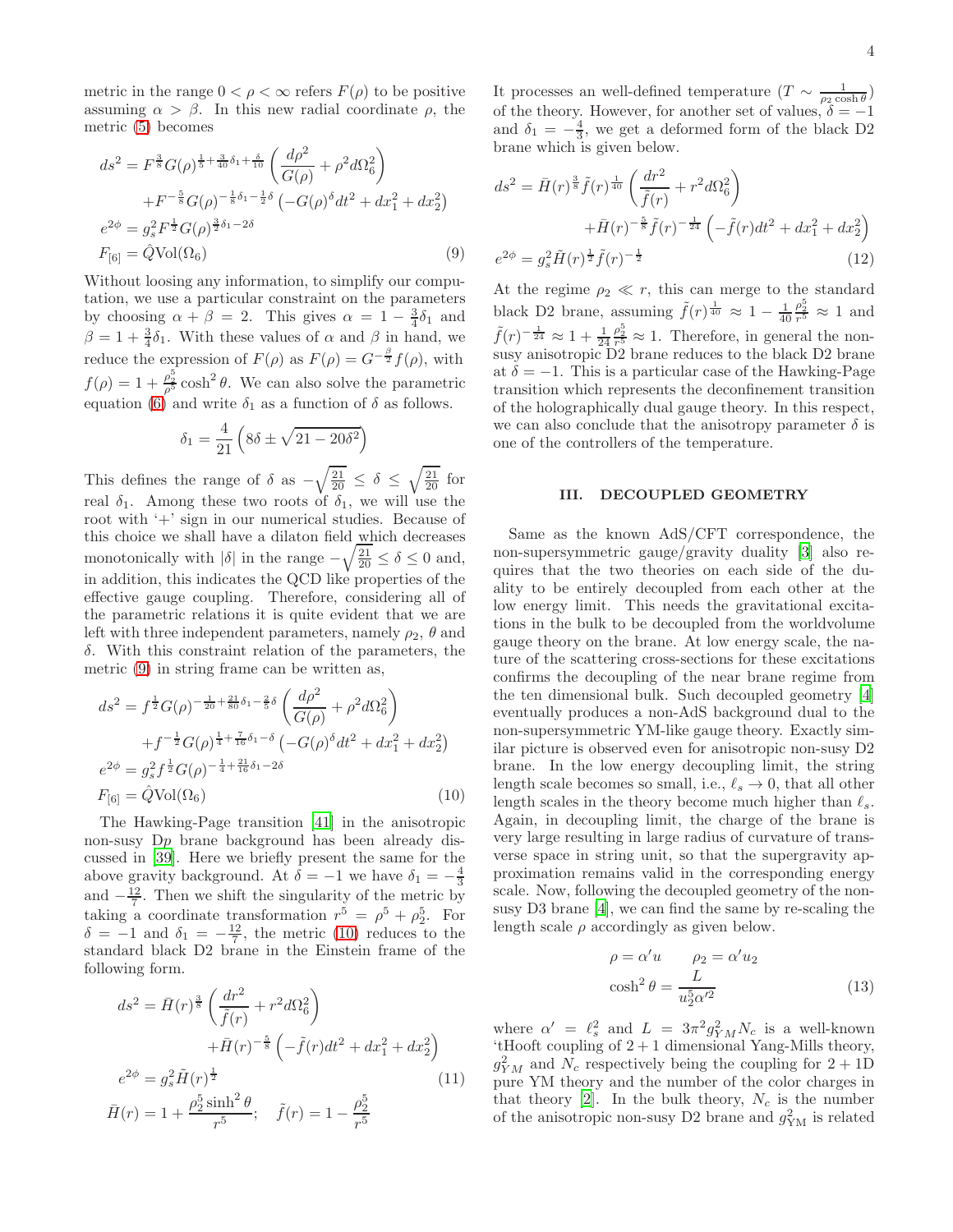metric in the range  $0 < \rho < \infty$  refers  $F(\rho)$  to be positive assuming  $\alpha > \beta$ . In this new radial coordinate  $\rho$ , the metric [\(5\)](#page-2-1) becomes

<span id="page-3-1"></span>
$$
ds^{2} = F^{\frac{3}{8}}G(\rho)^{\frac{1}{5} + \frac{3}{40}\delta_{1} + \frac{\delta}{10}}\left(\frac{d\rho^{2}}{G(\rho)} + \rho^{2}d\Omega_{6}^{2}\right) + F^{-\frac{5}{8}}G(\rho)^{-\frac{1}{8}\delta_{1} - \frac{1}{2}\delta}\left(-G(\rho)^{\delta}dt^{2} + dx_{1}^{2} + dx_{2}^{2}\right) e^{2\phi} = g_{s}^{2}F^{\frac{1}{2}}G(\rho)^{\frac{3}{2}\delta_{1} - 2\delta} F_{[6]} = \hat{Q} \text{Vol}(\Omega_{6})
$$
(9)

Without loosing any information, to simplify our computation, we use a particular constraint on the parameters by choosing  $\alpha + \beta = 2$ . This gives  $\alpha = 1 - \frac{3}{4}\delta_1$  and  $\beta = 1 + \frac{3}{4}\delta_1$ . With these values of  $\alpha$  and  $\beta$  in hand, we reduce the expression of  $F(\rho)$  as  $F(\rho) = G^{-\frac{\beta}{2}} f(\rho)$ , with  $f(\rho) = 1 + \frac{\rho_2^5}{\rho^5} \cosh^2 \theta$ . We can also solve the parametric equation  $(6)$  and write  $\delta_1$  as a function of  $\delta$  as follows.

$$
\delta_1 = \frac{4}{21} \left( 8\delta \pm \sqrt{21 - 20\delta^2} \right)
$$

This defines the range of  $\delta$  as  $-\sqrt{\frac{21}{20}} \leq \delta \leq \sqrt{\frac{21}{20}}$  for real  $\delta_1$ . Among these two roots of  $\delta_1$ , we will use the root with '+' sign in our numerical studies. Because of this choice we shall have a dilaton field which decreases monotonically with  $|\delta|$  in the range  $-\sqrt{\frac{21}{20}} \le \delta \le 0$  and, in addition, this indicates the QCD like properties of the effective gauge coupling. Therefore, considering all of the parametric relations it is quite evident that we are left with three independent parameters, namely  $\rho_2$ ,  $\theta$  and δ. With this constraint relation of the parameters, the metric [\(9\)](#page-3-1) in string frame can be written as,

<span id="page-3-2"></span>
$$
ds^{2} = f^{\frac{1}{2}}G(\rho)^{-\frac{1}{20} + \frac{21}{80}\delta_{1} - \frac{2}{5}\delta} \left(\frac{d\rho^{2}}{G(\rho)} + \rho^{2}d\Omega_{6}^{2}\right)
$$
  
+ 
$$
f^{-\frac{1}{2}}G(\rho)^{\frac{1}{4} + \frac{7}{16}\delta_{1} - \delta} \left(-G(\rho)^{\delta}dt^{2} + dx_{1}^{2} + dx_{2}^{2}\right)
$$
  

$$
e^{2\phi} = g_{s}^{2}f^{\frac{1}{2}}G(\rho)^{-\frac{1}{4} + \frac{21}{16}\delta_{1} - 2\delta}
$$
  

$$
F_{[6]} = \hat{Q} \text{Vol}(\Omega_{6})
$$
 (10)

The Hawking-Page transition [\[41](#page-10-18)] in the anisotropic non-susy Dp brane background has been already discussed in [\[39](#page-10-16)]. Here we briefly present the same for the above gravity background. At  $\delta = -1$  we have  $\delta_1 = -\frac{4}{3}$ and  $-\frac{12}{7}$ . Then we shift the singularity of the metric by taking a coordinate transformation  $r^5 = \rho^5 + \rho_2^5$ . For  $\delta = -1$  and  $\delta_1 = -\frac{12}{7}$ , the metric [\(10\)](#page-3-2) reduces to the standard black D2 brane in the Einstein frame of the following form.

$$
ds^{2} = \bar{H}(r)^{\frac{3}{8}} \left( \frac{dr^{2}}{\tilde{f}(r)} + r^{2} d\Omega_{6}^{2} \right)
$$

$$
+ \bar{H}(r)^{-\frac{5}{8}} \left( -\tilde{f}(r) dt^{2} + dx_{1}^{2} + dx_{2}^{2} \right)
$$

$$
e^{2\phi} = g_{s}^{2} \tilde{H}(r)^{\frac{1}{2}}
$$
(11)
$$
\bar{H}(r) = 1 + \frac{\rho_{2}^{5} \sinh^{2} \theta}{r^{5}}; \quad \tilde{f}(r) = 1 - \frac{\rho_{2}^{5}}{r^{5}}
$$

It processes an well-defined temperature  $(T \sim \frac{1}{\rho_2 \cosh \theta})$ of the theory. However, for another set of values,  $\delta = -1$ and  $\delta_1 = -\frac{4}{3}$ , we get a deformed form of the black D2 brane which is given below.

$$
ds^{2} = \bar{H}(r)^{\frac{3}{8}} \tilde{f}(r)^{\frac{1}{40}} \left(\frac{dr^{2}}{\tilde{f}(r)} + r^{2} d\Omega_{6}^{2}\right) + \bar{H}(r)^{-\frac{5}{8}} \tilde{f}(r)^{-\frac{1}{24}} \left(-\tilde{f}(r)dt^{2} + dx_{1}^{2} + dx_{2}^{2}\right) e^{2\phi} = g_{s}^{2} \tilde{H}(r)^{\frac{1}{2}} \tilde{f}(r)^{-\frac{1}{2}}
$$
(12)

At the regime  $\rho_2 \ll r$ , this can merge to the standard black D2 brane, assuming  $\tilde{f}(r)^{\frac{1}{40}} \approx 1 - \frac{1}{40}$  $\frac{\rho_2^5}{r^5} \approx 1$  and  $\tilde{f}(r)^{-\frac{1}{24}} \approx 1 + \frac{1}{24}$  $\frac{\rho_2^5}{r_2^5} \approx 1$ . Therefore, in general the nonsusy anisotropic D2 brane reduces to the black D2 brane at  $\delta = -1$ . This is a particular case of the Hawking-Page transition which represents the deconfinement transition of the holographically dual gauge theory. In this respect, we can also conclude that the anisotropy parameter  $\delta$  is one of the controllers of the temperature.

#### <span id="page-3-0"></span>III. DECOUPLED GEOMETRY

Same as the known AdS/CFT correspondence, the non-supersymmetric gauge/gravity duality [\[3](#page-9-3)] also requires that the two theories on each side of the duality to be entirely decoupled from each other at the low energy limit. This needs the gravitational excitations in the bulk to be decoupled from the worldvolume gauge theory on the brane. At low energy scale, the nature of the scattering cross-sections for these excitations confirms the decoupling of the near brane regime from the ten dimensional bulk. Such decoupled geometry [\[4](#page-9-4)] eventually produces a non-AdS background dual to the non-supersymmetric YM-like gauge theory. Exactly similar picture is observed even for anisotropic non-susy D2 brane. In the low energy decoupling limit, the string length scale becomes so small, i.e.,  $\ell_s \to 0$ , that all other length scales in the theory become much higher than  $\ell_s$ . Again, in decoupling limit, the charge of the brane is very large resulting in large radius of curvature of transverse space in string unit, so that the supergravity approximation remains valid in the corresponding energy scale. Now, following the decoupled geometry of the nonsusy D3 brane [\[4](#page-9-4)], we can find the same by re-scaling the length scale  $\rho$  accordingly as given below.

<span id="page-3-3"></span>
$$
\rho = \alpha' u \qquad \rho_2 = \alpha' u_2
$$

$$
\cosh^2 \theta = \frac{L}{u_2^5 \alpha'^2} \tag{13}
$$

where  $\alpha' = \ell_s^2$  and  $L = 3\pi^2 g_{YM}^2 N_c$  is a well-known  $^{\circ}$ tHooft coupling of 2 + 1 dimensional Yang-Mills theory,  $g_{YM}^2$  and  $N_c$  respectively being the coupling for  $2+1D$ pure YM theory and the number of the color charges in that theory [\[2\]](#page-9-2). In the bulk theory,  $N_c$  is the number of the anisotropic non-susy D2 brane and  $g_{\text{YM}}^2$  is related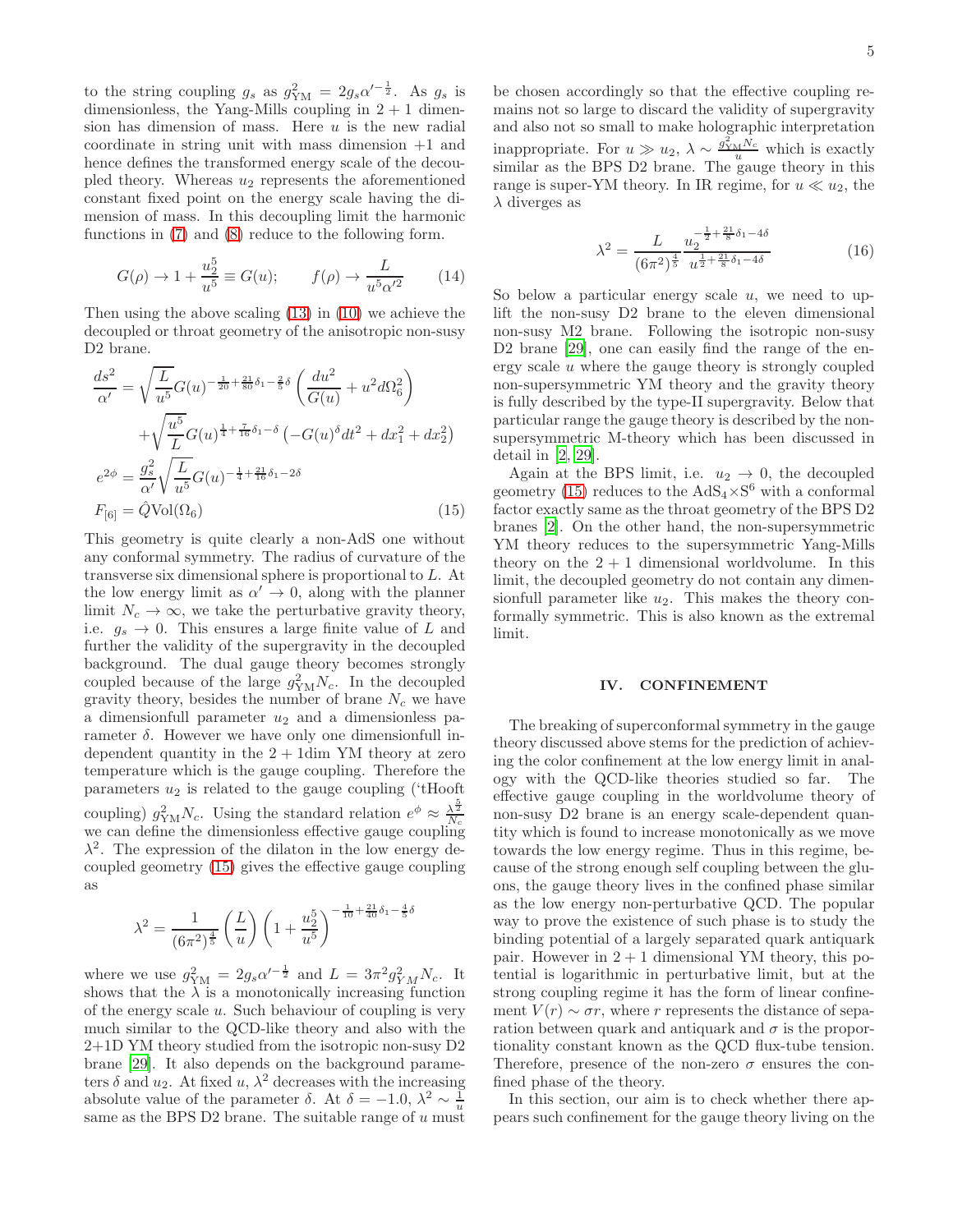to the string coupling  $g_s$  as  $g_{\text{YM}}^2 = 2g_s \alpha'^{-\frac{1}{2}}$ . As  $g_s$  is dimensionless, the Yang-Mills coupling in  $2 + 1$  dimension has dimension of mass. Here  $u$  is the new radial coordinate in string unit with mass dimension +1 and hence defines the transformed energy scale of the decoupled theory. Whereas  $u_2$  represents the aforementioned constant fixed point on the energy scale having the dimension of mass. In this decoupling limit the harmonic functions in [\(7\)](#page-2-3) and [\(8\)](#page-2-4) reduce to the following form.

$$
G(\rho) \to 1 + \frac{u_2^5}{u^5} \equiv G(u); \qquad f(\rho) \to \frac{L}{u^5 \alpha'^2}
$$
 (14)

Then using the above scaling [\(13\)](#page-3-3) in [\(10\)](#page-3-2) we achieve the decoupled or throat geometry of the anisotropic non-susy D2 brane.

<span id="page-4-1"></span>
$$
\frac{ds^2}{\alpha'} = \sqrt{\frac{L}{u^5}} G(u)^{-\frac{1}{20} + \frac{21}{80}\delta_1 - \frac{2}{5}\delta} \left(\frac{du^2}{G(u)} + u^2 d\Omega_6^2\right) \n+ \sqrt{\frac{u^5}{L}} G(u)^{\frac{1}{4} + \frac{7}{16}\delta_1 - \delta} \left(-G(u)^{\delta} dt^2 + dx_1^2 + dx_2^2\right) \ne^{2\phi} = \frac{g_s^2}{\alpha'} \sqrt{\frac{L}{u^5}} G(u)^{-\frac{1}{4} + \frac{21}{16}\delta_1 - 2\delta} \nF_{[6]} = \hat{Q} \text{Vol}(\Omega_6)
$$
\n(15)

This geometry is quite clearly a non-AdS one without any conformal symmetry. The radius of curvature of the transverse six dimensional sphere is proportional to L. At the low energy limit as  $\alpha' \to 0$ , along with the planner limit  $N_c \to \infty$ , we take the perturbative gravity theory, i.e.  $g_s \to 0$ . This ensures a large finite value of L and further the validity of the supergravity in the decoupled background. The dual gauge theory becomes strongly coupled because of the large  $g_{\text{YM}}^2 N_c$ . In the decoupled gravity theory, besides the number of brane  $N_c$  we have a dimensionfull parameter  $u_2$  and a dimensionless parameter  $\delta$ . However we have only one dimensionfull independent quantity in the  $2 + 1$ dim YM theory at zero temperature which is the gauge coupling. Therefore the parameters  $u_2$  is related to the gauge coupling ('tHooft coupling)  $g_{\text{YM}}^2 N_c$ . Using the standard relation  $e^{\phi} \approx \frac{\lambda^{\frac{5}{2}}}{N_c}$ we can define the dimensionless effective gauge coupling  $\lambda^2$ . The expression of the dilaton in the low energy decoupled geometry [\(15\)](#page-4-1) gives the effective gauge coupling as

$$
\lambda^{2} = \frac{1}{(6\pi^{2})^{\frac{4}{5}}} \left(\frac{L}{u}\right) \left(1 + \frac{u_{2}^{5}}{u^{5}}\right)^{-\frac{1}{10} + \frac{21}{40}\delta_{1} - \frac{4}{5}\delta}
$$

where we use  $g_{\rm YM}^2 = 2g_s \alpha'^{-\frac{1}{2}}$  and  $L = 3\pi^2 g_{YM}^2 N_c$ . It shows that the  $\lambda$  is a monotonically increasing function of the energy scale  $u$ . Such behaviour of coupling is very much similar to the QCD-like theory and also with the 2+1D YM theory studied from the isotropic non-susy D2 brane [\[29\]](#page-10-10). It also depends on the background parameters  $\delta$  and  $u_2$ . At fixed  $u, \lambda^2$  decreases with the increasing absolute value of the parameter  $\delta$ . At  $\delta = -1.0$ ,  $\lambda^2 \sim \frac{1}{u}$ same as the BPS D2 brane. The suitable range of  $u$  must

be chosen accordingly so that the effective coupling remains not so large to discard the validity of supergravity and also not so small to make holographic interpretation inappropriate. For  $u \gg u_2$ ,  $\lambda \sim \frac{g_{YM}^2 N_c}{u}$  which is exactly similar as the BPS D2 brane. The gauge theory in this range is super-YM theory. In IR regime, for  $u \ll u_2$ , the  $\lambda$  diverges as

$$
\lambda^2 = \frac{L}{(6\pi^2)^{\frac{4}{5}}} \frac{u_2^{-\frac{1}{2} + \frac{21}{8}\delta_1 - 4\delta}}{u^{\frac{1}{2} + \frac{21}{8}\delta_1 - 4\delta}}\tag{16}
$$

So below a particular energy scale  $u$ , we need to uplift the non-susy D2 brane to the eleven dimensional non-susy M2 brane. Following the isotropic non-susy D2 brane [\[29](#page-10-10)], one can easily find the range of the energy scale  $u$  where the gauge theory is strongly coupled non-supersymmetric YM theory and the gravity theory is fully described by the type-II supergravity. Below that particular range the gauge theory is described by the nonsupersymmetric M-theory which has been discussed in detail in [\[2](#page-9-2), [29](#page-10-10)].

Again at the BPS limit, i.e.  $u_2 \rightarrow 0$ , the decoupled geometry [\(15\)](#page-4-1) reduces to the  $AdS_4 \times S^6$  with a conformal factor exactly same as the throat geometry of the BPS D2 branes [\[2\]](#page-9-2). On the other hand, the non-supersymmetric YM theory reduces to the supersymmetric Yang-Mills theory on the  $2 + 1$  dimensional worldvolume. In this limit, the decoupled geometry do not contain any dimensionfull parameter like  $u_2$ . This makes the theory conformally symmetric. This is also known as the extremal limit.

### <span id="page-4-0"></span>IV. CONFINEMENT

The breaking of superconformal symmetry in the gauge theory discussed above stems for the prediction of achieving the color confinement at the low energy limit in analogy with the QCD-like theories studied so far. The effective gauge coupling in the worldvolume theory of non-susy D2 brane is an energy scale-dependent quantity which is found to increase monotonically as we move towards the low energy regime. Thus in this regime, because of the strong enough self coupling between the gluons, the gauge theory lives in the confined phase similar as the low energy non-perturbative QCD. The popular way to prove the existence of such phase is to study the binding potential of a largely separated quark antiquark pair. However in  $2 + 1$  dimensional YM theory, this potential is logarithmic in perturbative limit, but at the strong coupling regime it has the form of linear confinement  $V(r) \sim \sigma r$ , where r represents the distance of separation between quark and antiquark and  $\sigma$  is the proportionality constant known as the QCD flux-tube tension. Therefore, presence of the non-zero  $\sigma$  ensures the confined phase of the theory.

In this section, our aim is to check whether there appears such confinement for the gauge theory living on the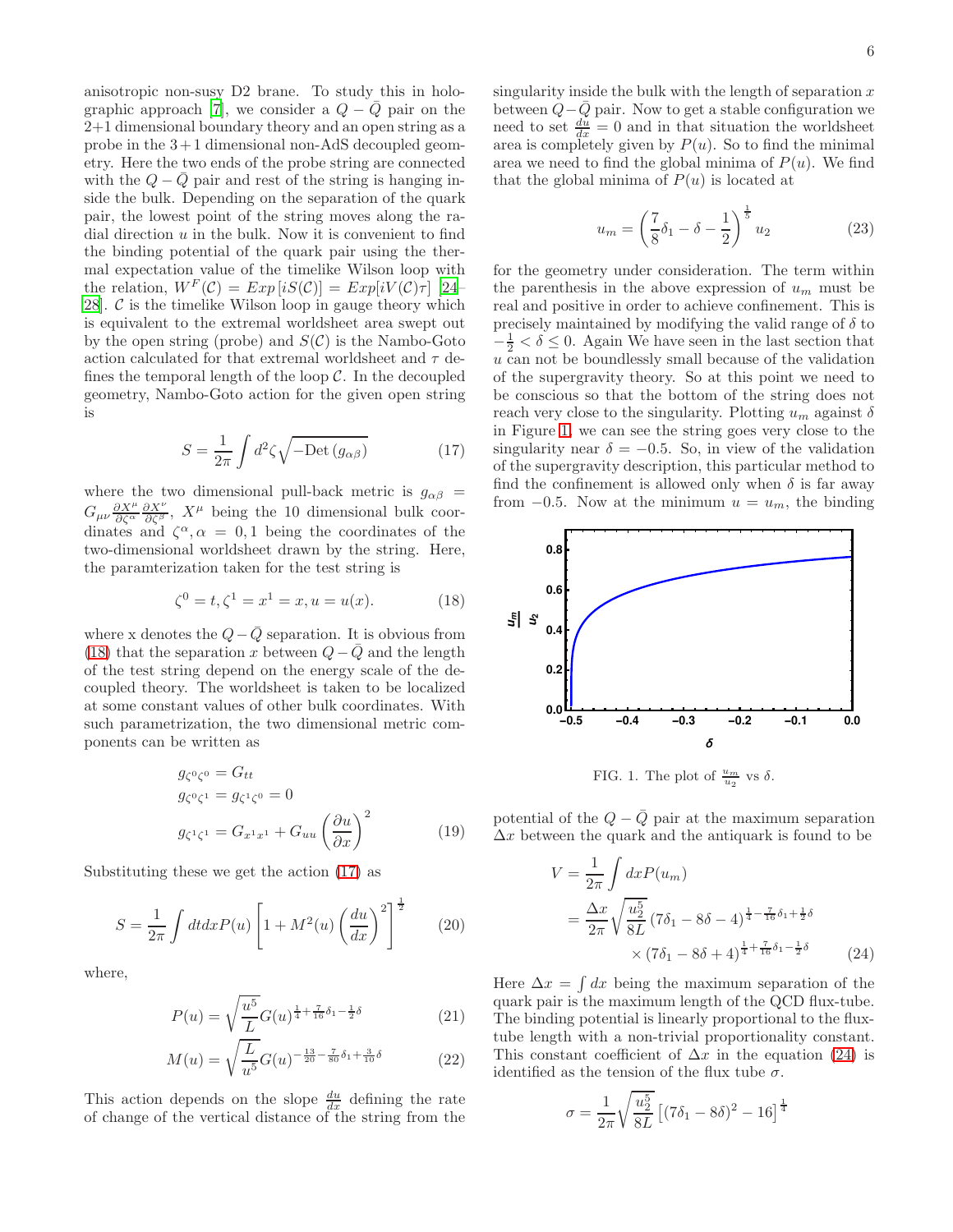anisotropic non-susy D2 brane. To study this in holo-graphic approach [\[7\]](#page-9-8), we consider a  $Q - \overline{Q}$  pair on the 2+1 dimensional boundary theory and an open string as a probe in the  $3+1$  dimensional non-AdS decoupled geometry. Here the two ends of the probe string are connected with the  $Q - \overline{Q}$  pair and rest of the string is hanging inside the bulk. Depending on the separation of the quark pair, the lowest point of the string moves along the radial direction  $u$  in the bulk. Now it is convenient to find the binding potential of the quark pair using the thermal expectation value of the timelike Wilson loop with the relation,  $W^F(\mathcal{C}) = Exp[iS(\mathcal{C})] = Exp[iV(\mathcal{C})\tau]$  [\[24](#page-10-8)– [28\]](#page-10-9).  $C$  is the timelike Wilson loop in gauge theory which is equivalent to the extremal worldsheet area swept out by the open string (probe) and  $S(\mathcal{C})$  is the Nambo-Goto action calculated for that extremal worldsheet and  $\tau$  defines the temporal length of the loop  $\mathcal{C}$ . In the decoupled geometry, Nambo-Goto action for the given open string is

<span id="page-5-1"></span>
$$
S = \frac{1}{2\pi} \int d^2 \zeta \sqrt{-\text{Det}\left(g_{\alpha\beta}\right)}\tag{17}
$$

where the two dimensional pull-back metric is  $g_{\alpha\beta}$  =  $G_{\mu\nu} \frac{\partial X^{\mu}}{\partial \zeta^{\alpha}} \frac{\partial X^{\nu}}{\partial \zeta^{\beta}}$ ,  $X^{\mu}$  being the 10 dimensional bulk coordinates and  $\zeta^{\alpha}, \alpha = 0, 1$  being the coordinates of the two-dimensional worldsheet drawn by the string. Here, the paramterization taken for the test string is

<span id="page-5-0"></span>
$$
\zeta^0 = t, \zeta^1 = x^1 = x, u = u(x). \tag{18}
$$

where x denotes the  $Q-\overline{Q}$  separation. It is obvious from [\(18\)](#page-5-0) that the separation x between  $Q-Q$  and the length of the test string depend on the energy scale of the decoupled theory. The worldsheet is taken to be localized at some constant values of other bulk coordinates. With such parametrization, the two dimensional metric components can be written as

$$
g_{\zeta^0\zeta^0} = G_{tt}
$$
  
\n
$$
g_{\zeta^0\zeta^1} = g_{\zeta^1\zeta^0} = 0
$$
  
\n
$$
g_{\zeta^1\zeta^1} = G_{x^1x^1} + G_{uu} \left(\frac{\partial u}{\partial x}\right)^2
$$
\n(19)

Substituting these we get the action [\(17\)](#page-5-1) as

$$
S = \frac{1}{2\pi} \int dt dx P(u) \left[ 1 + M^2(u) \left( \frac{du}{dx} \right)^2 \right]^{\frac{1}{2}} \tag{20}
$$

where,

$$
P(u) = \sqrt{\frac{u^5}{L}} G(u)^{\frac{1}{4} + \frac{7}{16}\delta_1 - \frac{1}{2}\delta}
$$
 (21)

$$
M(u) = \sqrt{\frac{L}{u^5}} G(u)^{-\frac{13}{20} - \frac{7}{80}\delta_1 + \frac{3}{10}\delta}
$$
 (22)

This action depends on the slope  $\frac{du}{dx}$  defining the rate of change of the vertical distance of the string from the singularity inside the bulk with the length of separation  $x$ between  $Q-\overline{Q}$  pair. Now to get a stable configuration we need to set  $\frac{du}{dx} = 0$  and in that situation the worldsheet area is completely given by  $P(u)$ . So to find the minimal area we need to find the global minima of  $P(u)$ . We find that the global minima of  $P(u)$  is located at

$$
u_m = \left(\frac{7}{8}\delta_1 - \delta - \frac{1}{2}\right)^{\frac{1}{5}} u_2
$$
 (23)

for the geometry under consideration. The term within the parenthesis in the above expression of  $u_m$  must be real and positive in order to achieve confinement. This is precisely maintained by modifying the valid range of  $\delta$  to  $-\frac{1}{2} < \delta \leq 0$ . Again We have seen in the last section that  $u$  can not be boundlessly small because of the validation of the supergravity theory. So at this point we need to be conscious so that the bottom of the string does not reach very close to the singularity. Plotting  $u_m$  against  $\delta$ in Figure [1,](#page-5-2) we can see the string goes very close to the singularity near  $\delta = -0.5$ . So, in view of the validation of the supergravity description, this particular method to find the confinement is allowed only when  $\delta$  is far away from  $-0.5$ . Now at the minimum  $u = u_m$ , the binding



<span id="page-5-2"></span>FIG. 1. The plot of  $\frac{u_m}{u_2}$  vs  $\delta$ .

potential of the  $Q - \bar{Q}$  pair at the maximum separation  $\Delta x$  between the quark and the antiquark is found to be

<span id="page-5-3"></span>
$$
V = \frac{1}{2\pi} \int dx P(u_m)
$$
  
=  $\frac{\Delta x}{2\pi} \sqrt{\frac{u_2^5}{8L} (7\delta_1 - 8\delta - 4)^{\frac{1}{4} - \frac{7}{16}\delta_1 + \frac{1}{2}\delta}}$   
 $\times (7\delta_1 - 8\delta + 4)^{\frac{1}{4} + \frac{7}{16}\delta_1 - \frac{1}{2}\delta}$  (24)

Here  $\Delta x = \int dx$  being the maximum separation of the quark pair is the maximum length of the QCD flux-tube. The binding potential is linearly proportional to the fluxtube length with a non-trivial proportionality constant. This constant coefficient of  $\Delta x$  in the equation [\(24\)](#page-5-3) is identified as the tension of the flux tube  $\sigma$ .

<span id="page-5-4"></span>
$$
\sigma = \frac{1}{2\pi} \sqrt{\frac{u_2^5}{8L}} \left[ (7\delta_1 - 8\delta)^2 - 16 \right]^{\frac{1}{4}}
$$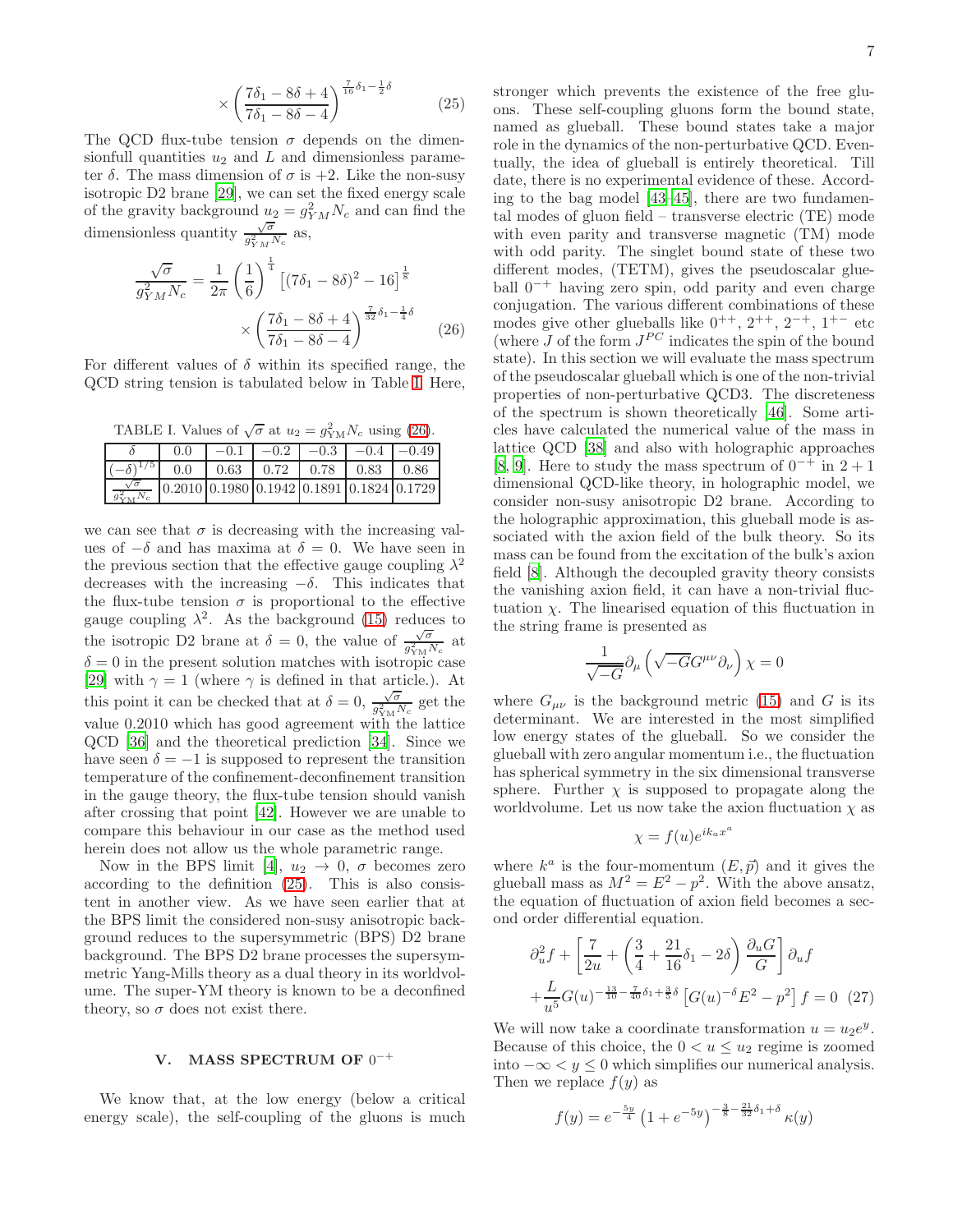$$
\times \left(\frac{7\delta_1 - 8\delta + 4}{7\delta_1 - 8\delta - 4}\right)^{\frac{7}{16}\delta_1 - \frac{1}{2}\delta} \tag{25}
$$

The QCD flux-tube tension  $\sigma$  depends on the dimensionfull quantities  $u_2$  and L and dimensionless parameter  $\delta$ . The mass dimension of  $\sigma$  is +2. Like the non-susy isotropic D2 brane [\[29\]](#page-10-10), we can set the fixed energy scale of the gravity background  $u_2 = g_{YM}^2 N_c$  and can find the dimensionless quantity  $\frac{\sqrt{\sigma}}{a^2}$  $\frac{\sqrt{\sigma}}{g_{YM}^2 N_c}$  as,

<span id="page-6-2"></span>
$$
\frac{\sqrt{\sigma}}{g_{YM}^2 N_c} = \frac{1}{2\pi} \left(\frac{1}{6}\right)^{\frac{1}{4}} \left[ (7\delta_1 - 8\delta)^2 - 16 \right]^{\frac{1}{8}}
$$

$$
\times \left(\frac{7\delta_1 - 8\delta + 4}{7\delta_1 - 8\delta - 4}\right)^{\frac{7}{32}\delta_1 - \frac{1}{4}\delta} \qquad (26)
$$

For different values of  $\delta$  within its specified range, the QCD string tension is tabulated below in Table [I.](#page-6-1) Here,

<span id="page-6-1"></span>TABLE I. Values of  $\sqrt{\sigma}$  at  $u_2 = g_{\text{YM}}^2 N_c$  using [\(26\)](#page-6-2).

|                                                                                       | $0.0^{\circ}$ | $ -0.1 $ $-0.2 $ $-0.3 $ $-0.4 $ $-0.49$ |  |  |
|---------------------------------------------------------------------------------------|---------------|------------------------------------------|--|--|
| $ (-\delta)^{1/5} $ 0.0   0.63   0.72   0.78   0.83   0.86                            |               |                                          |  |  |
| $\frac{\sqrt{\sigma}}{g_{\text{YM}}^2 N_c}$ 0.2010 0.1980 0.1942 0.1891 0.1824 0.1729 |               |                                          |  |  |

we can see that  $\sigma$  is decreasing with the increasing values of  $-\delta$  and has maxima at  $\delta = 0$ . We have seen in the previous section that the effective gauge coupling  $\lambda^2$ decreases with the increasing  $-\delta$ . This indicates that the flux-tube tension  $\sigma$  is proportional to the effective gauge coupling  $\lambda^2$ . As the background [\(15\)](#page-4-1) reduces to the isotropic D2 brane at  $\delta = 0$ , the value of  $\frac{\sqrt{\sigma}}{\sigma^2}$  $\frac{\sqrt{\sigma}}{g_{\rm YM}^2 N_c}$  at  $\delta = 0$  in the present solution matches with isotropic case [\[29\]](#page-10-10) with  $\gamma = 1$  (where  $\gamma$  is defined in that article.). At this point it can be checked that at  $\delta = 0$ ,  $\frac{\sqrt{\sigma}}{\sigma^2}$  $\frac{\sqrt{\sigma}}{g_{\text{YM}}^2 N_c}$  get the value  $0.2010$  which has good agreement with the lattice QCD [\[36](#page-10-14)] and the theoretical prediction [\[34\]](#page-10-12). Since we have seen  $\delta = -1$  is supposed to represent the transition temperature of the confinement-deconfinement transition in the gauge theory, the flux-tube tension should vanish after crossing that point [\[42](#page-10-19)]. However we are unable to compare this behaviour in our case as the method used herein does not allow us the whole parametric range.

Now in the BPS limit [\[4](#page-9-4)],  $u_2 \rightarrow 0$ ,  $\sigma$  becomes zero according to the definition [\(25\)](#page-5-4). This is also consistent in another view. As we have seen earlier that at the BPS limit the considered non-susy anisotropic background reduces to the supersymmetric (BPS) D2 brane background. The BPS D2 brane processes the supersymmetric Yang-Mills theory as a dual theory in its worldvolume. The super-YM theory is known to be a deconfined theory, so  $\sigma$  does not exist there.

# <span id="page-6-0"></span>V. MASS SPECTRUM OF  $0^{-+}$

We know that, at the low energy (below a critical energy scale), the self-coupling of the gluons is much stronger which prevents the existence of the free gluons. These self-coupling gluons form the bound state, named as glueball. These bound states take a major role in the dynamics of the non-perturbative QCD. Eventually, the idea of glueball is entirely theoretical. Till date, there is no experimental evidence of these. According to the bag model [\[43](#page-10-20)[–45\]](#page-10-21), there are two fundamental modes of gluon field – transverse electric (TE) mode with even parity and transverse magnetic (TM) mode with odd parity. The singlet bound state of these two different modes, (TETM), gives the pseudoscalar glueball 0−<sup>+</sup> having zero spin, odd parity and even charge conjugation. The various different combinations of these modes give other glueballs like  $0^{++}$ ,  $2^{++}$ ,  $2^{-+}$ ,  $1^{+-}$  etc (where  $J$  of the form  $J^{PC}$  indicates the spin of the bound state). In this section we will evaluate the mass spectrum of the pseudoscalar glueball which is one of the non-trivial properties of non-perturbative QCD3. The discreteness of the spectrum is shown theoretically [\[46\]](#page-10-22). Some articles have calculated the numerical value of the mass in lattice QCD [\[38\]](#page-10-15) and also with holographic approaches [\[8,](#page-9-9) [9](#page-9-7)]. Here to study the mass spectrum of  $0^{-+}$  in  $2+1$ dimensional QCD-like theory, in holographic model, we consider non-susy anisotropic D2 brane. According to the holographic approximation, this glueball mode is associated with the axion field of the bulk theory. So its mass can be found from the excitation of the bulk's axion field [\[8](#page-9-9)]. Although the decoupled gravity theory consists the vanishing axion field, it can have a non-trivial fluctuation  $\chi$ . The linearised equation of this fluctuation in the string frame is presented as

$$
\frac{1}{\sqrt{-G}}\partial_{\mu}\left(\sqrt{-G}G^{\mu\nu}\partial_{\nu}\right)\chi=0
$$

where  $G_{\mu\nu}$  is the background metric [\(15\)](#page-4-1) and G is its determinant. We are interested in the most simplified low energy states of the glueball. So we consider the glueball with zero angular momentum i.e., the fluctuation has spherical symmetry in the six dimensional transverse sphere. Further  $\chi$  is supposed to propagate along the worldvolume. Let us now take the axion fluctuation  $\chi$  as

$$
\chi = f(u)e^{ik_a x^a}
$$

where  $k^a$  is the four-momentum  $(E, \vec{p})$  and it gives the glueball mass as  $M^2 = E^2 - p^2$ . With the above ansatz, the equation of fluctuation of axion field becomes a second order differential equation.

$$
\partial_u^2 f + \left[ \frac{7}{2u} + \left( \frac{3}{4} + \frac{21}{16} \delta_1 - 2\delta \right) \frac{\partial_u G}{G} \right] \partial_u f
$$
  
+ 
$$
\frac{L}{u^5} G(u)^{-\frac{13}{10} - \frac{7}{40} \delta_1 + \frac{3}{5} \delta} \left[ G(u)^{-\delta} E^2 - p^2 \right] f = 0 \quad (27)
$$

We will now take a coordinate transformation  $u = u_2 e^y$ . Because of this choice, the  $0 < u \leq u_2$  regime is zoomed into −∞ < y ≤ 0 which simplifies our numerical analysis. Then we replace  $f(y)$  as

$$
f(y) = e^{-\frac{5y}{4}} \left(1 + e^{-5y}\right)^{-\frac{3}{8} - \frac{21}{32} \delta_1 + \delta} \kappa(y)
$$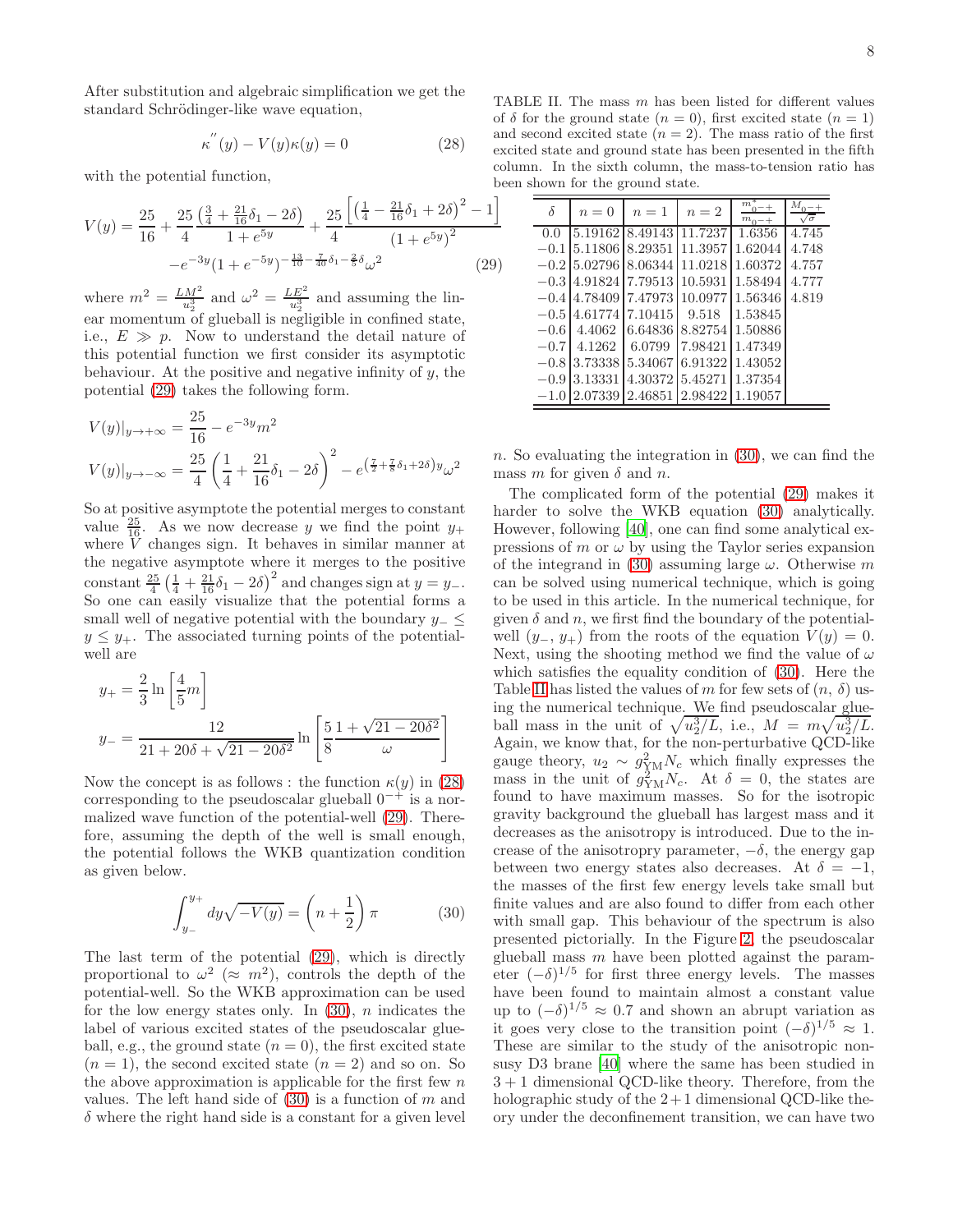<span id="page-7-1"></span>
$$
\kappa^{''}(y) - V(y)\kappa(y) = 0 \qquad (28)
$$

with the potential function,

<span id="page-7-0"></span>
$$
V(y) = \frac{25}{16} + \frac{25}{4} \frac{\left(\frac{3}{4} + \frac{21}{16}\delta_1 - 2\delta\right)}{1 + e^{5y}} + \frac{25}{4} \frac{\left[\left(\frac{1}{4} - \frac{21}{16}\delta_1 + 2\delta\right)^2 - 1\right]}{\left(1 + e^{5y}\right)^2} - e^{-3y} (1 + e^{-5y})^{-\frac{13}{10} - \frac{7}{40}\delta_1 - \frac{2}{5}\delta_{\omega}^2} \tag{29}
$$

where  $m^2 = \frac{LM^2}{u_2^3}$  and  $\omega^2 = \frac{LE^2}{u_2^3}$  and assuming the linear momentum of glueball is negligible in confined state, i.e.,  $E \gg p$ . Now to understand the detail nature of this potential function we first consider its asymptotic behaviour. At the positive and negative infinity of  $y$ , the potential [\(29\)](#page-7-0) takes the following form.

$$
V(y)|_{y \to +\infty} = \frac{25}{16} - e^{-3y} m^2
$$
  

$$
V(y)|_{y \to -\infty} = \frac{25}{4} \left(\frac{1}{4} + \frac{21}{16}\delta_1 - 2\delta\right)^2 - e^{\left(\frac{7}{2} + \frac{7}{8}\delta_1 + 2\delta\right)y} \omega^2
$$

So at positive asymptote the potential merges to constant value  $\frac{25}{16}$ . As we now decrease y we find the point  $y_+$ where V changes sign. It behaves in similar manner at the negative asymptote where it merges to the positive constant  $\frac{25}{4} \left( \frac{1}{4} + \frac{21}{16} \delta_1 - 2 \delta \right)^2$  and changes sign at  $y = y_-$ . So one can easily visualize that the potential forms a small well of negative potential with the boundary  $y_-\leq$  $y \leq y_+$ . The associated turning points of the potentialwell are

$$
y_{+} = \frac{2}{3} \ln\left[\frac{4}{5}m\right]
$$
  

$$
y_{-} = \frac{12}{21 + 20\delta + \sqrt{21 - 20\delta^2}} \ln\left[\frac{5}{8}\frac{1 + \sqrt{21 - 20\delta^2}}{\omega}\right]
$$

Now the concept is as follows : the function  $\kappa(y)$  in [\(28\)](#page-7-1) corresponding to the pseudoscalar glueball  $0^{-+}$  is a normalized wave function of the potential-well [\(29\)](#page-7-0). Therefore, assuming the depth of the well is small enough, the potential follows the WKB quantization condition as given below.

<span id="page-7-2"></span>
$$
\int_{y_{-}}^{y_{+}} dy \sqrt{-V(y)} = \left(n + \frac{1}{2}\right)\pi
$$
 (30)

The last term of the potential [\(29\)](#page-7-0), which is directly proportional to  $\omega^2 \approx m^2$ , controls the depth of the potential-well. So the WKB approximation can be used for the low energy states only. In  $(30)$ , *n* indicates the label of various excited states of the pseudoscalar glueball, e.g., the ground state  $(n = 0)$ , the first excited state  $(n = 1)$ , the second excited state  $(n = 2)$  and so on. So the above approximation is applicable for the first few  $n$ values. The left hand side of  $(30)$  is a function of m and  $\delta$  where the right hand side is a constant for a given level

<span id="page-7-3"></span>

| δ      | $n=0$                          | $n=1$           | $n=2$           | $m_{0-+}^*$<br>$m_{0-+}$ | $M_{0-+}$<br>$\sqrt{\sigma}$ |
|--------|--------------------------------|-----------------|-----------------|--------------------------|------------------------------|
| 0.0    | 5.19162 8.49143 11.7237        |                 |                 | 1.6356                   | 4.745                        |
|        | $-0.1$ 5.11806 8.29351 11.3957 |                 |                 | 1.62044                  | 4.748                        |
|        | $-0.2$ 5.02796 8.06344         |                 | 11.0218         | 1.60372                  | 4.757                        |
|        | $-0.3$ 4.91824 7.79513 10.5931 |                 |                 | 1.58494                  | 4.777                        |
|        | $-0.4$ 4.78409 7.47973 10.0977 |                 |                 | 1.56346                  | 4.819                        |
|        | $-0.5$ 4.61774 7.10415         |                 | 9.518           | 1.53845                  |                              |
| $-0.6$ | 4.4062                         | 6.64836         | 8.82754         | 1.50886                  |                              |
| $-0.7$ | 4.1262                         | 6.0799          | 7.98421         | 1.47349                  |                              |
|        | $-0.8$ 3.73338                 | 5.34067         | 6.91322         | 1.43052                  |                              |
|        | $-0.9$ 3.13331                 | 4.30372 5.45271 |                 | 1.37354                  |                              |
|        | $-1.0$ 2.07339                 |                 | 2.46851 2.98422 | 1.19057                  |                              |

n. So evaluating the integration in  $(30)$ , we can find the mass m for given  $\delta$  and n.

The complicated form of the potential [\(29\)](#page-7-0) makes it harder to solve the WKB equation [\(30\)](#page-7-2) analytically. However, following [\[40](#page-10-17)], one can find some analytical expressions of m or  $\omega$  by using the Taylor series expansion of the integrand in [\(30\)](#page-7-2) assuming large  $\omega$ . Otherwise m can be solved using numerical technique, which is going to be used in this article. In the numerical technique, for given  $\delta$  and n, we first find the boundary of the potentialwell  $(y_-, y_+)$  from the roots of the equation  $V(y) = 0$ . Next, using the shooting method we find the value of  $\omega$ which satisfies the equality condition of [\(30\)](#page-7-2). Here the Table [II](#page-7-3) has listed the values of m for few sets of  $(n, \delta)$  using the numerical technique. We find pseudoscalar glueball mass in the unit of  $\sqrt{u_2^3/L}$ , i.e.,  $M = m\sqrt{u_2^3/L}$ . Again, we know that, for the non-perturbative QCD-like gauge theory,  $u_2 \sim g_{\rm YM}^2 N_c$  which finally expresses the mass in the unit of  $g_{\rm YM}^2 N_c$ . At  $\delta = 0$ , the states are found to have maximum masses. So for the isotropic gravity background the glueball has largest mass and it decreases as the anisotropy is introduced. Due to the increase of the anisotropry parameter,  $-\delta$ , the energy gap between two energy states also decreases. At  $\delta = -1$ , the masses of the first few energy levels take small but finite values and are also found to differ from each other with small gap. This behaviour of the spectrum is also presented pictorially. In the Figure [2,](#page-8-1) the pseudoscalar glueball mass  $m$  have been plotted against the parameter  $(-\delta)^{1/5}$  for first three energy levels. The masses have been found to maintain almost a constant value up to  $(-\delta)^{1/5} \approx 0.7$  and shown an abrupt variation as it goes very close to the transition point  $(-\delta)^{1/5} \approx 1$ . These are similar to the study of the anisotropic nonsusy D3 brane [\[40\]](#page-10-17) where the same has been studied in 3 + 1 dimensional QCD-like theory. Therefore, from the holographic study of the  $2+1$  dimensional QCD-like theory under the deconfinement transition, we can have two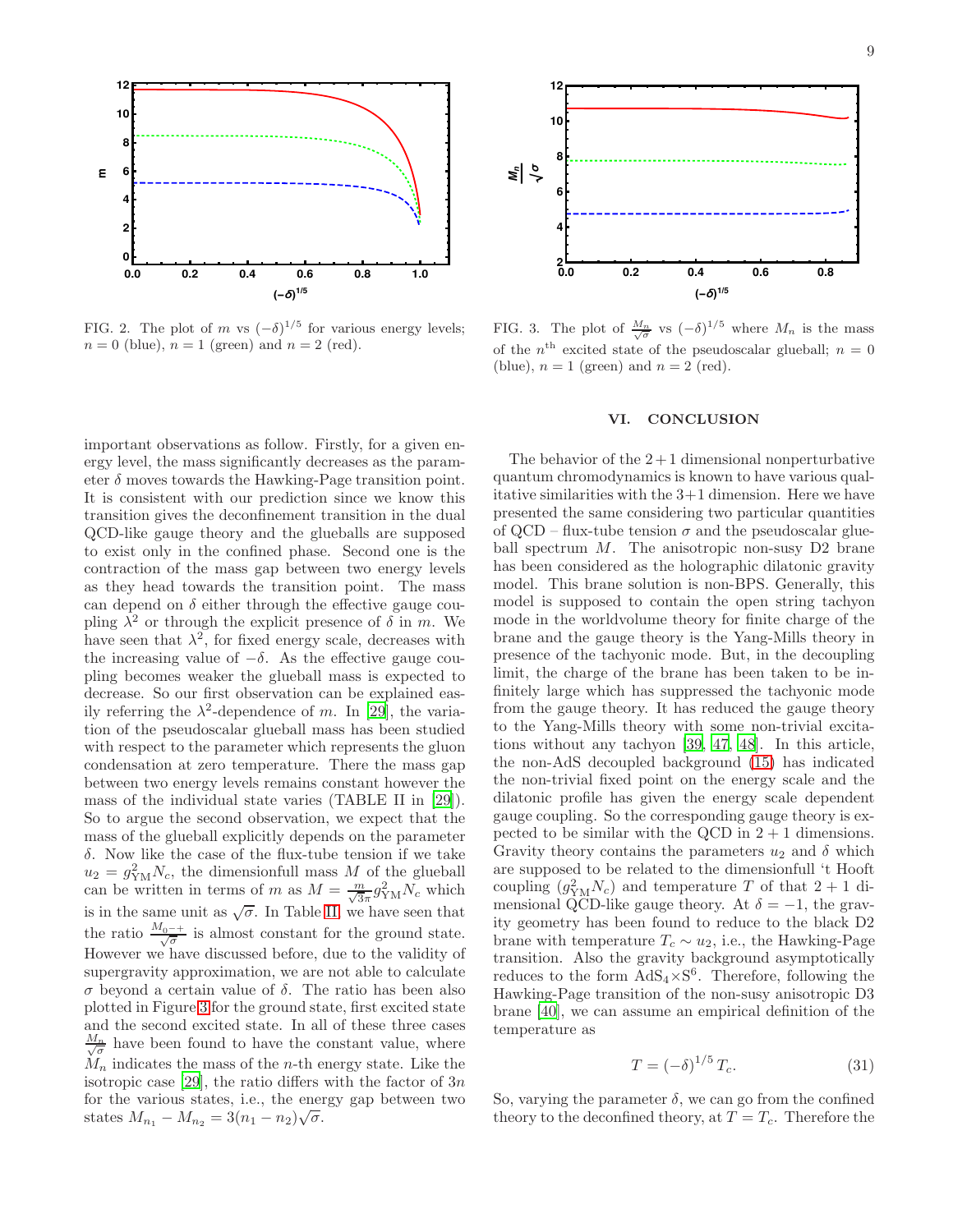

<span id="page-8-1"></span>FIG. 2. The plot of m vs  $(-\delta)^{1/5}$  for various energy levels;  $n = 0$  (blue),  $n = 1$  (green) and  $n = 2$  (red).

important observations as follow. Firstly, for a given energy level, the mass significantly decreases as the parameter  $\delta$  moves towards the Hawking-Page transition point. It is consistent with our prediction since we know this transition gives the deconfinement transition in the dual QCD-like gauge theory and the glueballs are supposed to exist only in the confined phase. Second one is the contraction of the mass gap between two energy levels as they head towards the transition point. The mass can depend on  $\delta$  either through the effective gauge coupling  $\lambda^2$  or through the explicit presence of  $\delta$  in m. We have seen that  $\lambda^2$ , for fixed energy scale, decreases with the increasing value of  $-\delta$ . As the effective gauge coupling becomes weaker the glueball mass is expected to decrease. So our first observation can be explained easily referring the  $\lambda^2$ -dependence of m. In [\[29\]](#page-10-10), the variation of the pseudoscalar glueball mass has been studied with respect to the parameter which represents the gluon condensation at zero temperature. There the mass gap between two energy levels remains constant however the mass of the individual state varies (TABLE II in [\[29\]](#page-10-10)). So to argue the second observation, we expect that the mass of the glueball explicitly depends on the parameter δ. Now like the case of the flux-tube tension if we take  $u_2 = g_{\text{YM}}^2 N_c$ , the dimensionfull mass M of the glueball can be written in terms of m as  $M = \frac{m}{\sqrt{3}\pi} g_{\rm YM}^2 N_c$  which is in the same unit as  $\sqrt{\sigma}$ . In Table [II,](#page-7-3) we have seen that the ratio  $\frac{M_{0^{-+}}}{\sqrt{\sigma}}$  is almost constant for the ground state. However we have discussed before, due to the validity of supergravity approximation, we are not able to calculate σ beyond a certain value of δ. The ratio has been also plotted in Figure [3](#page-8-2) for the ground state, first excited state and the second excited state. In all of these three cases  $\frac{M_n}{\sqrt{\sigma}}$  have been found to have the constant value, where  $M_n$  indicates the mass of the *n*-th energy state. Like the isotropic case [\[29\]](#page-10-10), the ratio differs with the factor of  $3n$ for the various states, i.e., the energy gap between two states  $M_{n_1} - M_{n_2} = 3(n_1 - n_2)\sqrt{\sigma}$ .



<span id="page-8-2"></span>FIG. 3. The plot of  $\frac{M_n}{\sqrt{\sigma}}$  vs  $(-\delta)^{1/5}$  where  $M_n$  is the mass of the  $n<sup>th</sup>$  excited state of the pseudoscalar glueball;  $n = 0$ (blue),  $n = 1$  (green) and  $n = 2$  (red).

#### <span id="page-8-0"></span>VI. CONCLUSION

The behavior of the  $2+1$  dimensional nonperturbative quantum chromodynamics is known to have various qualitative similarities with the 3+1 dimension. Here we have presented the same considering two particular quantities of QCD – flux-tube tension  $\sigma$  and the pseudoscalar glueball spectrum  $M$ . The anisotropic non-susy D2 brane has been considered as the holographic dilatonic gravity model. This brane solution is non-BPS. Generally, this model is supposed to contain the open string tachyon mode in the worldvolume theory for finite charge of the brane and the gauge theory is the Yang-Mills theory in presence of the tachyonic mode. But, in the decoupling limit, the charge of the brane has been taken to be infinitely large which has suppressed the tachyonic mode from the gauge theory. It has reduced the gauge theory to the Yang-Mills theory with some non-trivial excitations without any tachyon [\[39](#page-10-16), [47](#page-10-23), [48](#page-10-24)]. In this article, the non-AdS decoupled background [\(15\)](#page-4-1) has indicated the non-trivial fixed point on the energy scale and the dilatonic profile has given the energy scale dependent gauge coupling. So the corresponding gauge theory is expected to be similar with the QCD in  $2 + 1$  dimensions. Gravity theory contains the parameters  $u_2$  and  $\delta$  which are supposed to be related to the dimensionfull 't Hooft coupling  $(g_{\text{YM}}^2 N_c)$  and temperature T of that  $2 + 1$  dimensional QCD-like gauge theory. At  $\delta = -1$ , the gravity geometry has been found to reduce to the black D2 brane with temperature  $T_c \sim u_2$ , i.e., the Hawking-Page transition. Also the gravity background asymptotically reduces to the form  $AdS_4 \times S^6$ . Therefore, following the Hawking-Page transition of the non-susy anisotropic D3 brane [\[40\]](#page-10-17), we can assume an empirical definition of the temperature as

$$
T = \left(-\delta\right)^{1/5} T_c. \tag{31}
$$

So, varying the parameter  $\delta$ , we can go from the confined theory to the deconfined theory, at  $T = T_c$ . Therefore the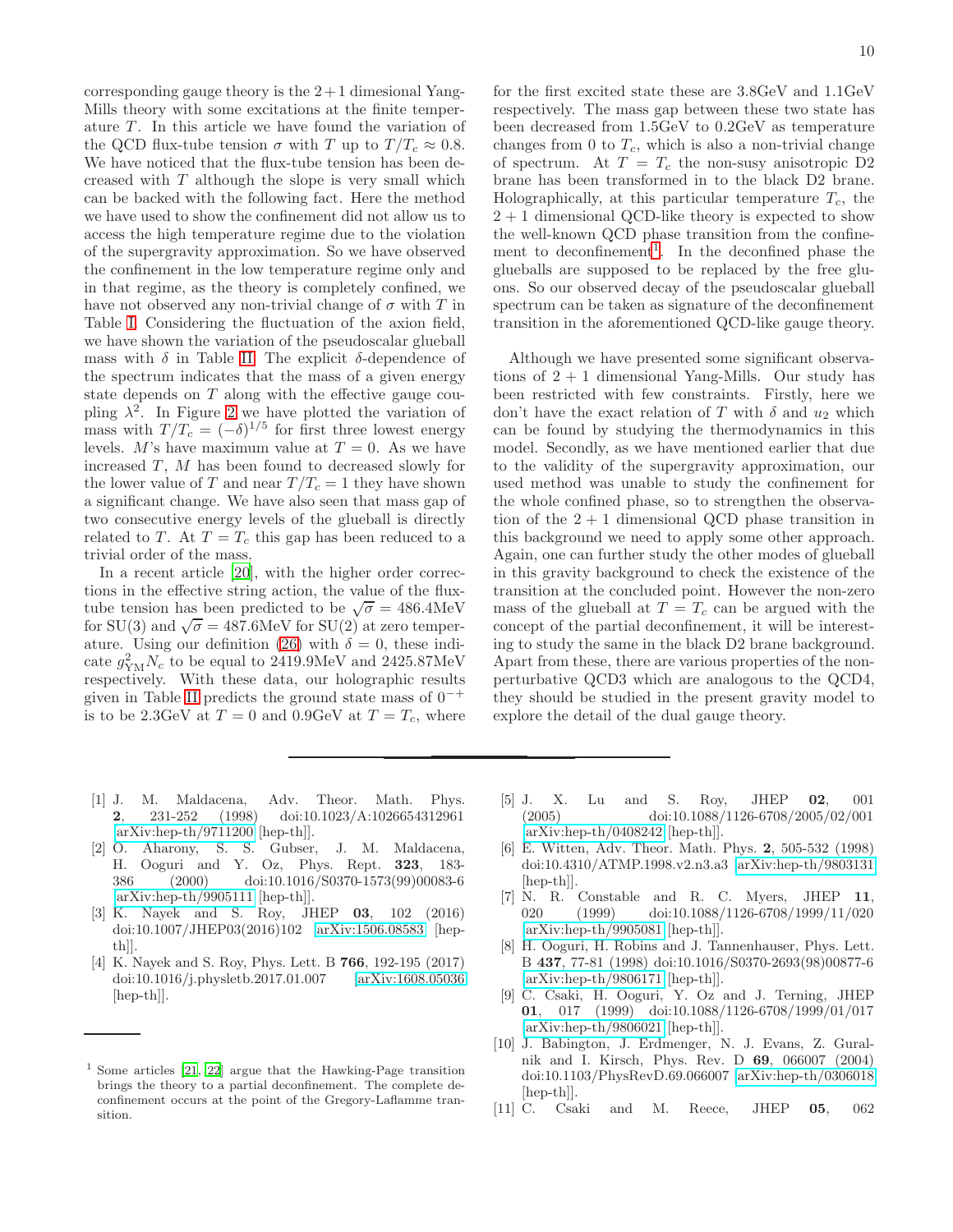corresponding gauge theory is the  $2+1$  dimesional Yang-Mills theory with some excitations at the finite temperature  $T$ . In this article we have found the variation of the QCD flux-tube tension  $\sigma$  with T up to  $T/T_c \approx 0.8$ . We have noticed that the flux-tube tension has been decreased with T although the slope is very small which can be backed with the following fact. Here the method we have used to show the confinement did not allow us to access the high temperature regime due to the violation of the supergravity approximation. So we have observed the confinement in the low temperature regime only and in that regime, as the theory is completely confined, we have not observed any non-trivial change of  $\sigma$  with T in Table [I.](#page-6-1) Considering the fluctuation of the axion field, we have shown the variation of the pseudoscalar glueball mass with  $\delta$  in Table [II.](#page-7-3) The explicit  $\delta$ -dependence of the spectrum indicates that the mass of a given energy state depends on T along with the effective gauge coupling  $\lambda^2$ . In Figure [2](#page-8-1) we have plotted the variation of mass with  $T/T_c = (-\delta)^{1/5}$  for first three lowest energy levels. M's have maximum value at  $T = 0$ . As we have increased  $T$ ,  $M$  has been found to decreased slowly for the lower value of  $T$  and near  $T/T_c = 1$  they have shown a significant change. We have also seen that mass gap of two consecutive energy levels of the glueball is directly related to T. At  $T = T_c$  this gap has been reduced to a trivial order of the mass.

In a recent article [\[20\]](#page-10-4), with the higher order corrections in the effective string action, the value of the fluxtube tension has been predicted to be  $\sqrt{\sigma} = 486.4 \text{MeV}$ for SU(3) and  $\sqrt{\sigma} = 487.6$ MeV for SU(2) at zero temper-ature. Using our definition [\(26\)](#page-6-2) with  $\delta = 0$ , these indicate  $g_{\text{YM}}^2 N_c$  to be equal to 2419.9MeV and 2425.87MeV respectively. With these data, our holographic results given in Table [II](#page-7-3) predicts the ground state mass of  $0^{-+}$ is to be 2.3GeV at  $T = 0$  and 0.9GeV at  $T = T_c$ , where

for the first excited state these are 3.8GeV and 1.1GeV respectively. The mass gap between these two state has been decreased from 1.5GeV to 0.2GeV as temperature changes from 0 to  $T_c$ , which is also a non-trivial change of spectrum. At  $T = T_c$  the non-susy anisotropic D2 brane has been transformed in to the black D2 brane. Holographically, at this particular temperature  $T_c$ , the  $2 + 1$  dimensional QCD-like theory is expected to show the well-known QCD phase transition from the confine-ment to deconfinement<sup>[1](#page-9-10)</sup>. In the deconfined phase the glueballs are supposed to be replaced by the free gluons. So our observed decay of the pseudoscalar glueball spectrum can be taken as signature of the deconfinement transition in the aforementioned QCD-like gauge theory.

Although we have presented some significant observations of  $2 + 1$  dimensional Yang-Mills. Our study has been restricted with few constraints. Firstly, here we don't have the exact relation of T with  $\delta$  and  $u_2$  which can be found by studying the thermodynamics in this model. Secondly, as we have mentioned earlier that due to the validity of the supergravity approximation, our used method was unable to study the confinement for the whole confined phase, so to strengthen the observation of the  $2 + 1$  dimensional QCD phase transition in this background we need to apply some other approach. Again, one can further study the other modes of glueball in this gravity background to check the existence of the transition at the concluded point. However the non-zero mass of the glueball at  $T = T_c$  can be argued with the concept of the partial deconfinement, it will be interesting to study the same in the black D2 brane background. Apart from these, there are various properties of the nonperturbative QCD3 which are analogous to the QCD4, they should be studied in the present gravity model to explore the detail of the dual gauge theory.

- <span id="page-9-1"></span><span id="page-9-0"></span>[1] J. M. Maldacena, Adv. Theor. Math. Phys.<br>2. 231-252 (1998) doi:10.1023/A:1026654312961 2, 231-252 (1998) doi:10.1023/A:1026654312961 [\[arXiv:hep-th/9711200](http://arxiv.org/abs/hep-th/9711200) [hep-th]].
- <span id="page-9-2"></span>[2] O. Aharony, S. S. Gubser, J. M. Maldacena, H. Ooguri and Y. Oz, Phys. Rept. 323, 183- 386 (2000) doi:10.1016/S0370-1573(99)00083-6 [\[arXiv:hep-th/9905111](http://arxiv.org/abs/hep-th/9905111) [hep-th]].
- <span id="page-9-3"></span>[3] K. Nayek and S. Roy, JHEP 03, 102 (2016) doi:10.1007/JHEP03(2016)102 [\[arXiv:1506.08583](http://arxiv.org/abs/1506.08583) [hepth]].
- <span id="page-9-4"></span>[4] K. Nayek and S. Roy, Phys. Lett. B 766, 192-195 (2017) doi:10.1016/j.physletb.2017.01.007 [\[arXiv:1608.05036](http://arxiv.org/abs/1608.05036) [hep-th]].
- <span id="page-9-5"></span>[5] J. X. Lu and S. Roy, JHEP 02, 001 (2005) doi:10.1088/1126-6708/2005/02/001 [\[arXiv:hep-th/0408242](http://arxiv.org/abs/hep-th/0408242) [hep-th]].
- <span id="page-9-6"></span>[6] E. Witten, Adv. Theor. Math. Phys. 2, 505-532 (1998) doi:10.4310/ATMP.1998.v2.n3.a3 [\[arXiv:hep-th/9803131](http://arxiv.org/abs/hep-th/9803131) [hep-th]].<br>[7] N. R.
- <span id="page-9-8"></span>Constable and R. C. Myers, JHEP 11, 020 (1999) doi:10.1088/1126-6708/1999/11/020 [\[arXiv:hep-th/9905081](http://arxiv.org/abs/hep-th/9905081) [hep-th]].
- <span id="page-9-9"></span>[8] H. Ooguri, H. Robins and J. Tannenhauser, Phys. Lett. B 437, 77-81 (1998) doi:10.1016/S0370-2693(98)00877-6 [\[arXiv:hep-th/9806171](http://arxiv.org/abs/hep-th/9806171) [hep-th]].
- <span id="page-9-7"></span>[9] C. Csaki, H. Ooguri, Y. Oz and J. Terning, JHEP 01, 017 (1999) doi:10.1088/1126-6708/1999/01/017 [\[arXiv:hep-th/9806021](http://arxiv.org/abs/hep-th/9806021) [hep-th]].
- [10] J. Babington, J. Erdmenger, N. J. Evans, Z. Guralnik and I. Kirsch, Phys. Rev. D 69, 066007 (2004) doi:10.1103/PhysRevD.69.066007 [\[arXiv:hep-th/0306018](http://arxiv.org/abs/hep-th/0306018) [hep-th]].
- [11] C. Csaki and M. Reece, JHEP 05, 062

<span id="page-9-10"></span><sup>1</sup> Some articles [\[21](#page-10-5), [22\]](#page-10-6) argue that the Hawking-Page transition brings the theory to a partial deconfinement. The complete deconfinement occurs at the point of the Gregory-Laflamme transition.